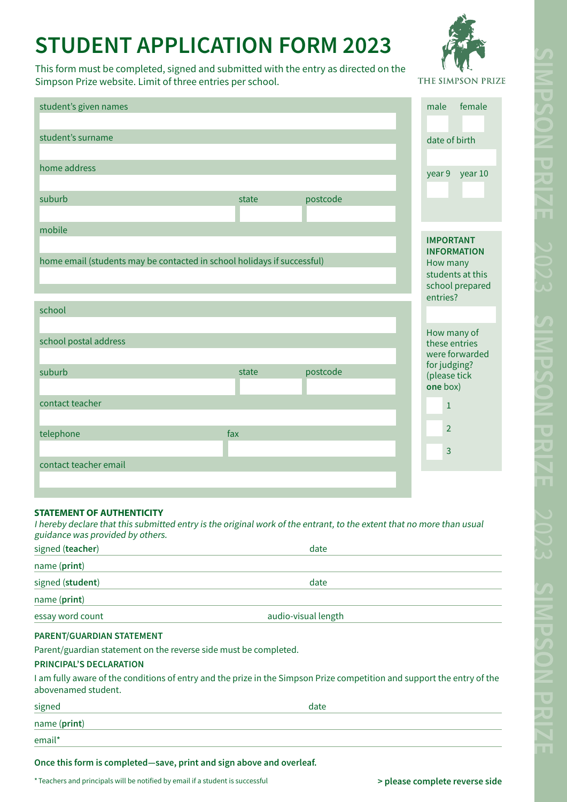# **STUDENT APPLICATION FORM 2023**

This form must be completed, signed and submitted with the entry as directed on the Simpson Prize website. Limit of three entries per school.

THE SIMPSON PRIZE

|                                                                         |       |          | male<br>female                         |
|-------------------------------------------------------------------------|-------|----------|----------------------------------------|
| student's given names                                                   |       |          |                                        |
| student's surname                                                       |       |          |                                        |
|                                                                         |       |          | date of birth                          |
| home address                                                            |       |          |                                        |
|                                                                         |       |          | year 10<br>year 9                      |
| suburb                                                                  | state | postcode |                                        |
|                                                                         |       |          |                                        |
| mobile                                                                  |       |          |                                        |
|                                                                         |       |          | <b>IMPORTANT</b><br><b>INFORMATION</b> |
| home email (students may be contacted in school holidays if successful) |       |          | How many                               |
|                                                                         |       |          | students at this<br>school prepared    |
|                                                                         |       |          | entries?                               |
| school                                                                  |       |          |                                        |
|                                                                         |       |          | How many of                            |
| school postal address                                                   |       |          | these entries<br>were forwarded        |
|                                                                         |       |          | for judging?                           |
| suburb                                                                  | state | postcode | (please tick                           |
| contact teacher                                                         |       |          | one box)                               |
|                                                                         |       |          | $\mathbf{1}$                           |
| telephone                                                               | fax   |          | $\overline{2}$                         |
|                                                                         |       |          | 3                                      |
| contact teacher email                                                   |       |          |                                        |
|                                                                         |       |          |                                        |

### **STATEMENT OF AUTHENTICITY**

I hereby declare that this submitted entry is the original work of the entrant, to the extent that no more than usual guidance was provided by others.

| signed (teacher)          | date                |  |
|---------------------------|---------------------|--|
| name (print)              |                     |  |
| signed (student)          | date                |  |
| name (print)              |                     |  |
| essay word count          | audio-visual length |  |
| PARENT/GUARDIAN STATEMENT |                     |  |

Parent/guardian statement on the reverse side must be completed.

### **PRINCIPAL'S DECLARATION**

I am fully aware of the conditions of entry and the prize in the Simpson Prize competition and support the entry of the abovenamed student.

| signed       | date |  |
|--------------|------|--|
| name (print) |      |  |
| email*       |      |  |

**Once this form is completed—save, print and sign above and overleaf.** 

\*Teachers and principals will be notified by email if a student is successful **budgeer and principals will be notified** by email if a student is successful